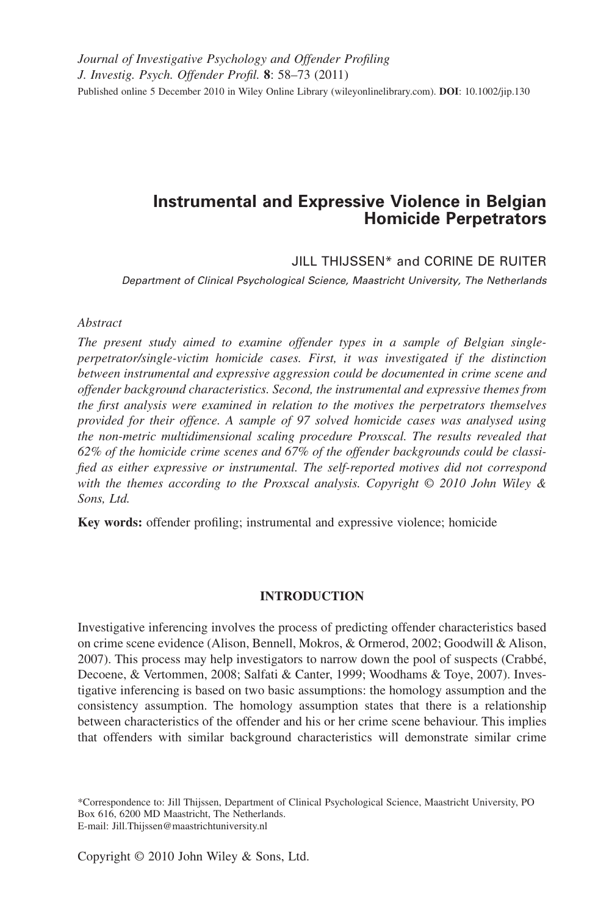# **Instrumental and Expressive Violence in Belgian Homicide Perpetrators**

# JILL THIJSSEN\* and CORINE DE RUITER

*Department of Clinical Psychological Science, Maastricht University, The Netherlands*

# *Abstract*

*The present study aimed to examine offender types in a sample of Belgian singleperpetrator/single-victim homicide cases. First, it was investigated if the distinction between instrumental and expressive aggression could be documented in crime scene and offender background characteristics. Second, the instrumental and expressive themes from the first analysis were examined in relation to the motives the perpetrators themselves provided for their offence. A sample of 97 solved homicide cases was analysed using the non-metric multidimensional scaling procedure Proxscal. The results revealed that 62% of the homicide crime scenes and 67% of the offender backgrounds could be classi*fied as either expressive or instrumental. The self-reported motives did not correspond *with the themes according to the Proxscal analysis. Copyright © 2010 John Wiley & Sons, Ltd.*

**Key words:** offender profiling; instrumental and expressive violence; homicide

# **INTRODUCTION**

Investigative inferencing involves the process of predicting offender characteristics based on crime scene evidence (Alison, Bennell, Mokros, & Ormerod, 2002; Goodwill & Alison, 2007). This process may help investigators to narrow down the pool of suspects (Crabbé, Decoene, & Vertommen, 2008; Salfati & Canter, 1999; Woodhams & Toye, 2007). Investigative inferencing is based on two basic assumptions: the homology assumption and the consistency assumption. The homology assumption states that there is a relationship between characteristics of the offender and his or her crime scene behaviour. This implies that offenders with similar background characteristics will demonstrate similar crime

\*Correspondence to: Jill Thijssen, Department of Clinical Psychological Science, Maastricht University, PO Box 616, 6200 MD Maastricht, The Netherlands. E-mail: Jill.Thijssen@maastrichtuniversity.nl

Copyright © 2010 John Wiley & Sons, Ltd.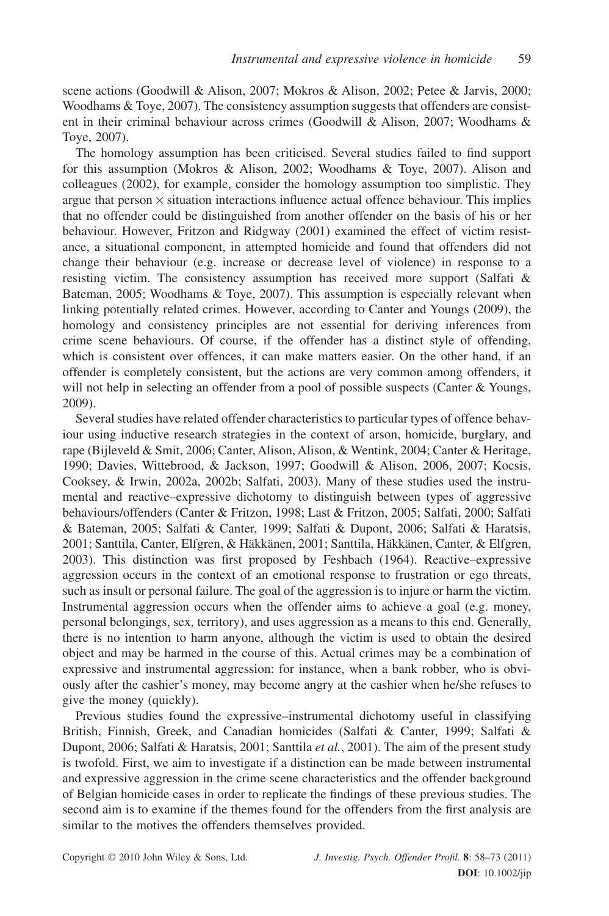scene actions (Goodwill & Alison, 2007; Mokros & Alison, 2002; Petee & Jarvis, 2000; Woodhams & Toye, 2007). The consistency assumption suggests that offenders are consistent in their criminal behaviour across crimes (Goodwill & Alison, 2007; Woodhams & Toye, 2007).

The homology assumption has been criticised. Several studies failed to find support for this assumption (Mokros & Alison, 2002; Woodhams & Toye, 2007). Alison and colleagues (2002), for example, consider the homology assumption too simplistic. They argue that person  $\times$  situation interactions influence actual offence behaviour. This implies that no offender could be distinguished from another offender on the basis of his or her behaviour. However, Fritzon and Ridgway (2001) examined the effect of victim resistance, a situational component, in attempted homicide and found that offenders did not change their behaviour (e.g. increase or decrease level of violence) in response to a resisting victim. The consistency assumption has received more support (Salfati & Bateman, 2005; Woodhams & Toye, 2007). This assumption is especially relevant when linking potentially related crimes. However, according to Canter and Youngs (2009), the homology and consistency principles are not essential for deriving inferences from crime scene behaviours. Of course, if the offender has a distinct style of offending, which is consistent over offences, it can make matters easier. On the other hand, if an offender is completely consistent, but the actions are very common among offenders, it will not help in selecting an offender from a pool of possible suspects (Canter & Youngs, 2009).

Several studies have related offender characteristics to particular types of offence behaviour using inductive research strategies in the context of arson, homicide, burglary, and rape (Bijleveld & Smit, 2006; Canter, Alison, Alison, & Wentink, 2004; Canter & Heritage, 1990; Davies, Wittebrood, & Jackson, 1997; Goodwill & Alison, 2006, 2007; Kocsis, Cooksey, & Irwin, 2002a, 2002b; Salfati, 2003). Many of these studies used the instrumental and reactive–expressive dichotomy to distinguish between types of aggressive behaviours/offenders (Canter & Fritzon, 1998; Last & Fritzon, 2005; Salfati, 2000; Salfati & Bateman, 2005; Salfati & Canter, 1999; Salfati & Dupont, 2006; Salfati & Haratsis, 2001; Santtila, Canter, Elfgren, & Häkkänen, 2001; Santtila, Häkkänen, Canter, & Elfgren, 2003). This distinction was first proposed by Feshbach (1964). Reactive–expressive aggression occurs in the context of an emotional response to frustration or ego threats, such as insult or personal failure. The goal of the aggression is to injure or harm the victim. Instrumental aggression occurs when the offender aims to achieve a goal (e.g. money, personal belongings, sex, territory), and uses aggression as a means to this end. Generally, there is no intention to harm anyone, although the victim is used to obtain the desired object and may be harmed in the course of this. Actual crimes may be a combination of expressive and instrumental aggression: for instance, when a bank robber, who is obviously after the cashier's money, may become angry at the cashier when he/she refuses to give the money (quickly).

Previous studies found the expressive–instrumental dichotomy useful in classifying British, Finnish, Greek, and Canadian homicides (Salfati & Canter, 1999; Salfati & Dupont, 2006; Salfati & Haratsis, 2001; Santtila *et al.*, 2001). The aim of the present study is twofold. First, we aim to investigate if a distinction can be made between instrumental and expressive aggression in the crime scene characteristics and the offender background of Belgian homicide cases in order to replicate the findings of these previous studies. The second aim is to examine if the themes found for the offenders from the first analysis are similar to the motives the offenders themselves provided.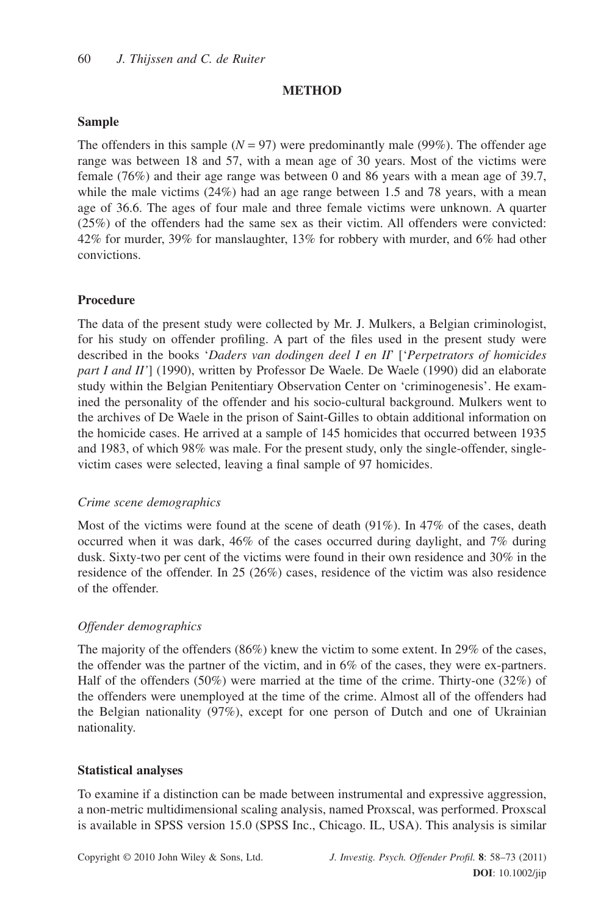# **METHOD**

# **Sample**

The offenders in this sample  $(N = 97)$  were predominantly male (99%). The offender age range was between 18 and 57, with a mean age of 30 years. Most of the victims were female (76%) and their age range was between 0 and 86 years with a mean age of 39.7, while the male victims (24%) had an age range between 1.5 and 78 years, with a mean age of 36.6. The ages of four male and three female victims were unknown. A quarter (25%) of the offenders had the same sex as their victim. All offenders were convicted: 42% for murder, 39% for manslaughter, 13% for robbery with murder, and 6% had other convictions.

# **Procedure**

The data of the present study were collected by Mr. J. Mulkers, a Belgian criminologist, for his study on offender profiling. A part of the files used in the present study were described in the books '*Daders van dodingen deel I en II*' ['*Perpetrators of homicides part I and II'*] (1990), written by Professor De Waele. De Waele (1990) did an elaborate study within the Belgian Penitentiary Observation Center on 'criminogenesis'. He examined the personality of the offender and his socio-cultural background. Mulkers went to the archives of De Waele in the prison of Saint-Gilles to obtain additional information on the homicide cases. He arrived at a sample of 145 homicides that occurred between 1935 and 1983, of which 98% was male. For the present study, only the single-offender, singlevictim cases were selected, leaving a final sample of 97 homicides.

# *Crime scene demographics*

Most of the victims were found at the scene of death (91%). In 47% of the cases, death occurred when it was dark, 46% of the cases occurred during daylight, and 7% during dusk. Sixty-two per cent of the victims were found in their own residence and 30% in the residence of the offender. In 25 (26%) cases, residence of the victim was also residence of the offender.

# *Offender demographics*

The majority of the offenders  $(86%)$  knew the victim to some extent. In 29% of the cases, the offender was the partner of the victim, and in 6% of the cases, they were ex-partners. Half of the offenders (50%) were married at the time of the crime. Thirty-one (32%) of the offenders were unemployed at the time of the crime. Almost all of the offenders had the Belgian nationality (97%), except for one person of Dutch and one of Ukrainian nationality.

# **Statistical analyses**

To examine if a distinction can be made between instrumental and expressive aggression, a non-metric multidimensional scaling analysis, named Proxscal, was performed. Proxscal is available in SPSS version 15.0 (SPSS Inc., Chicago. IL, USA). This analysis is similar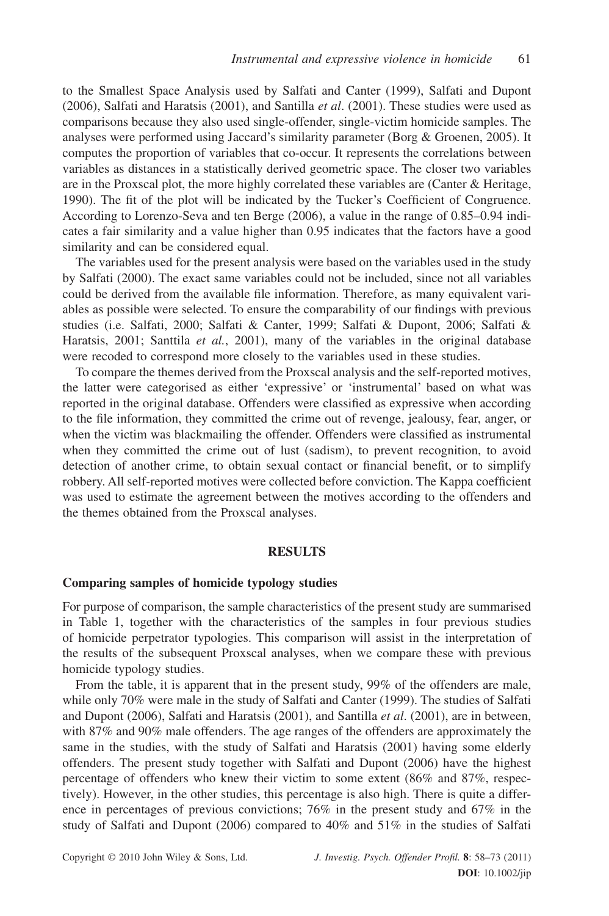to the Smallest Space Analysis used by Salfati and Canter (1999), Salfati and Dupont (2006), Salfati and Haratsis (2001), and Santilla *et al*. (2001). These studies were used as comparisons because they also used single-offender, single-victim homicide samples. The analyses were performed using Jaccard's similarity parameter (Borg & Groenen, 2005). It computes the proportion of variables that co-occur. It represents the correlations between variables as distances in a statistically derived geometric space. The closer two variables are in the Proxscal plot, the more highly correlated these variables are (Canter & Heritage, 1990). The fit of the plot will be indicated by the Tucker's Coefficient of Congruence. According to Lorenzo-Seva and ten Berge (2006), a value in the range of 0.85–0.94 indicates a fair similarity and a value higher than 0.95 indicates that the factors have a good similarity and can be considered equal.

The variables used for the present analysis were based on the variables used in the study by Salfati (2000). The exact same variables could not be included, since not all variables could be derived from the available file information. Therefore, as many equivalent variables as possible were selected. To ensure the comparability of our findings with previous studies (i.e. Salfati, 2000; Salfati & Canter, 1999; Salfati & Dupont, 2006; Salfati & Haratsis, 2001; Santtila *et al.*, 2001), many of the variables in the original database were recoded to correspond more closely to the variables used in these studies.

To compare the themes derived from the Proxscal analysis and the self-reported motives, the latter were categorised as either 'expressive' or 'instrumental' based on what was reported in the original database. Offenders were classified as expressive when according to the file information, they committed the crime out of revenge, jealousy, fear, anger, or when the victim was blackmailing the offender. Offenders were classified as instrumental when they committed the crime out of lust (sadism), to prevent recognition, to avoid detection of another crime, to obtain sexual contact or financial benefit, or to simplify robbery. All self-reported motives were collected before conviction. The Kappa coefficient was used to estimate the agreement between the motives according to the offenders and the themes obtained from the Proxscal analyses.

#### **RESULTS**

## **Comparing samples of homicide typology studies**

For purpose of comparison, the sample characteristics of the present study are summarised in Table 1, together with the characteristics of the samples in four previous studies of homicide perpetrator typologies. This comparison will assist in the interpretation of the results of the subsequent Proxscal analyses, when we compare these with previous homicide typology studies.

From the table, it is apparent that in the present study, 99% of the offenders are male, while only 70% were male in the study of Salfati and Canter (1999). The studies of Salfati and Dupont (2006), Salfati and Haratsis (2001), and Santilla *et al*. (2001), are in between, with 87% and 90% male offenders. The age ranges of the offenders are approximately the same in the studies, with the study of Salfati and Haratsis (2001) having some elderly offenders. The present study together with Salfati and Dupont (2006) have the highest percentage of offenders who knew their victim to some extent (86% and 87%, respectively). However, in the other studies, this percentage is also high. There is quite a difference in percentages of previous convictions; 76% in the present study and 67% in the study of Salfati and Dupont (2006) compared to 40% and 51% in the studies of Salfati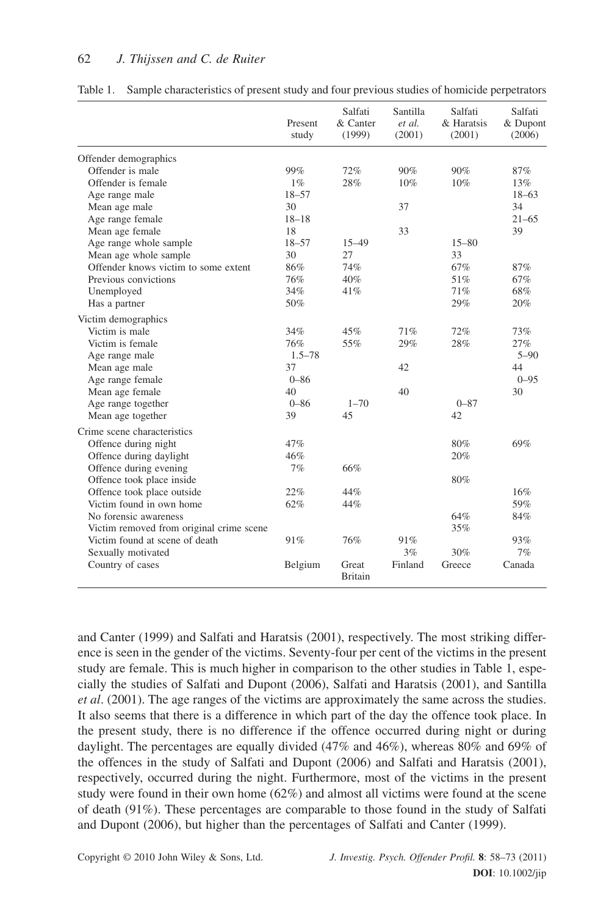# 62 *J. Thijssen and C. de Ruiter*

|                                          | Present<br>study | Salfati<br>& Canter<br>(1999) | Santilla<br>et al.<br>(2001) | Salfati<br>& Haratsis<br>(2001) | Salfati<br>& Dupont<br>(2006) |
|------------------------------------------|------------------|-------------------------------|------------------------------|---------------------------------|-------------------------------|
| Offender demographics                    |                  |                               |                              |                                 |                               |
| Offender is male                         | 99%              | 72%                           | 90%                          | 90%                             | 87%                           |
| Offender is female                       | $1\%$            | 28%                           | 10%                          | 10%                             | 13%                           |
| Age range male                           | $18 - 57$        |                               |                              |                                 | $18 - 63$                     |
| Mean age male                            | 30               |                               | 37                           |                                 | 34                            |
| Age range female                         | $18 - 18$        |                               |                              |                                 | $21 - 65$                     |
| Mean age female                          | 18               |                               | 33                           |                                 | 39                            |
| Age range whole sample                   | $18 - 57$        | $15 - 49$                     |                              | $15 - 80$                       |                               |
| Mean age whole sample                    | 30               | 27                            |                              | 33                              |                               |
| Offender knows victim to some extent     | 86%              | 74%                           |                              | 67%                             | 87%                           |
| Previous convictions                     | 76%              | 40%                           |                              | 51%                             | 67%                           |
| Unemployed                               | 34%              | 41%                           |                              | 71%                             | 68%                           |
| Has a partner                            | 50%              |                               |                              | 29%                             | 20%                           |
| Victim demographics                      |                  |                               |                              |                                 |                               |
| Victim is male                           | 34%              | 45%                           | 71%                          | 72%                             | 73%                           |
| Victim is female                         | 76%              | 55%                           | 29%                          | 28%                             | 27%                           |
| Age range male                           | $1.5 - 78$       |                               |                              |                                 | $5 - 90$                      |
| Mean age male                            | 37               |                               | 42                           |                                 | 44                            |
| Age range female                         | $0 - 86$         |                               |                              |                                 | $0 - 95$                      |
| Mean age female                          | 40               |                               | 40                           |                                 | 30                            |
| Age range together                       | $0 - 86$         | $1 - 70$                      |                              | $0 - 87$                        |                               |
| Mean age together                        | 39               | 45                            |                              | 42                              |                               |
| Crime scene characteristics              |                  |                               |                              |                                 |                               |
| Offence during night                     | 47%              |                               |                              | 80%                             | 69%                           |
| Offence during daylight                  | 46%              |                               |                              | 20%                             |                               |
| Offence during evening                   | 7%               | 66%                           |                              |                                 |                               |
| Offence took place inside                |                  |                               |                              | 80%                             |                               |
| Offence took place outside               | 22%              | 44%                           |                              |                                 | 16%                           |
| Victim found in own home                 | 62%              | 44%                           |                              |                                 | 59%                           |
| No forensic awareness                    |                  |                               |                              | 64%                             | 84%                           |
| Victim removed from original crime scene |                  |                               |                              | 35%                             |                               |
| Victim found at scene of death           | 91%              | 76%                           | 91%                          |                                 | 93%                           |
| Sexually motivated                       |                  |                               | 3%                           | 30%                             | 7%                            |
| Country of cases                         | Belgium          | Great<br><b>Britain</b>       | Finland                      | Greece                          | Canada                        |

| Table 1. Sample characteristics of present study and four previous studies of homicide perpetrators |  |  |
|-----------------------------------------------------------------------------------------------------|--|--|
|                                                                                                     |  |  |

and Canter (1999) and Salfati and Haratsis (2001), respectively. The most striking difference is seen in the gender of the victims. Seventy-four per cent of the victims in the present study are female. This is much higher in comparison to the other studies in Table 1, especially the studies of Salfati and Dupont (2006), Salfati and Haratsis (2001), and Santilla *et al*. (2001). The age ranges of the victims are approximately the same across the studies. It also seems that there is a difference in which part of the day the offence took place. In the present study, there is no difference if the offence occurred during night or during daylight. The percentages are equally divided (47% and 46%), whereas 80% and 69% of the offences in the study of Salfati and Dupont (2006) and Salfati and Haratsis (2001), respectively, occurred during the night. Furthermore, most of the victims in the present study were found in their own home (62%) and almost all victims were found at the scene of death (91%). These percentages are comparable to those found in the study of Salfati and Dupont (2006), but higher than the percentages of Salfati and Canter (1999).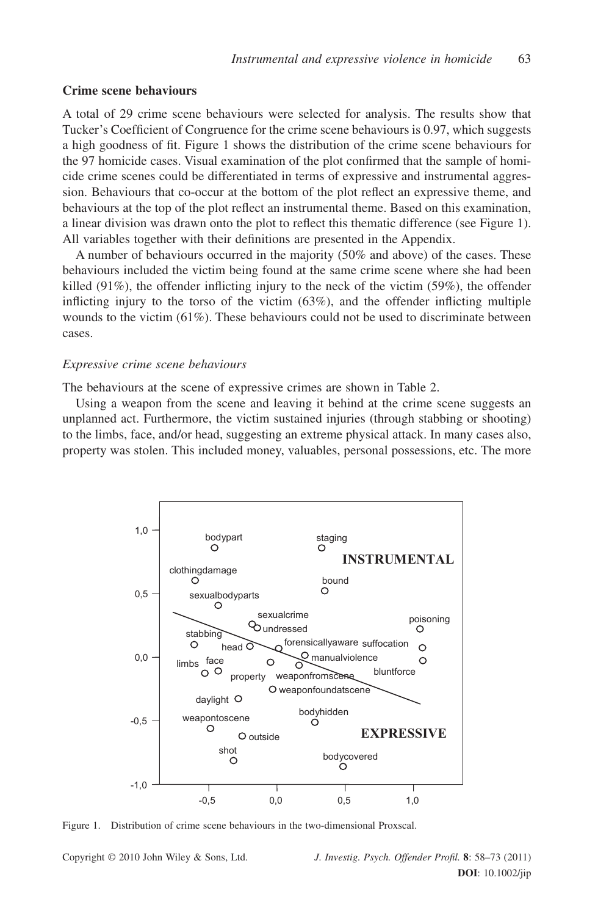#### **Crime scene behaviours**

A total of 29 crime scene behaviours were selected for analysis. The results show that Tucker's Coefficient of Congruence for the crime scene behaviours is 0.97, which suggests a high goodness of fit. Figure 1 shows the distribution of the crime scene behaviours for the 97 homicide cases. Visual examination of the plot confirmed that the sample of homicide crime scenes could be differentiated in terms of expressive and instrumental aggression. Behaviours that co-occur at the bottom of the plot reflect an expressive theme, and behaviours at the top of the plot reflect an instrumental theme. Based on this examination, a linear division was drawn onto the plot to reflect this thematic difference (see Figure 1). All variables together with their definitions are presented in the Appendix.

A number of behaviours occurred in the majority (50% and above) of the cases. These behaviours included the victim being found at the same crime scene where she had been killed (91%), the offender inflicting injury to the neck of the victim (59%), the offender inflicting injury to the torso of the victim  $(63\%)$ , and the offender inflicting multiple wounds to the victim  $(61\%)$ . These behaviours could not be used to discriminate between cases.

#### *Expressive crime scene behaviours*

The behaviours at the scene of expressive crimes are shown in Table 2.

Using a weapon from the scene and leaving it behind at the crime scene suggests an unplanned act. Furthermore, the victim sustained injuries (through stabbing or shooting) to the limbs, face, and/or head, suggesting an extreme physical attack. In many cases also, property was stolen. This included money, valuables, personal possessions, etc. The more



Figure 1. Distribution of crime scene behaviours in the two-dimensional Proxscal.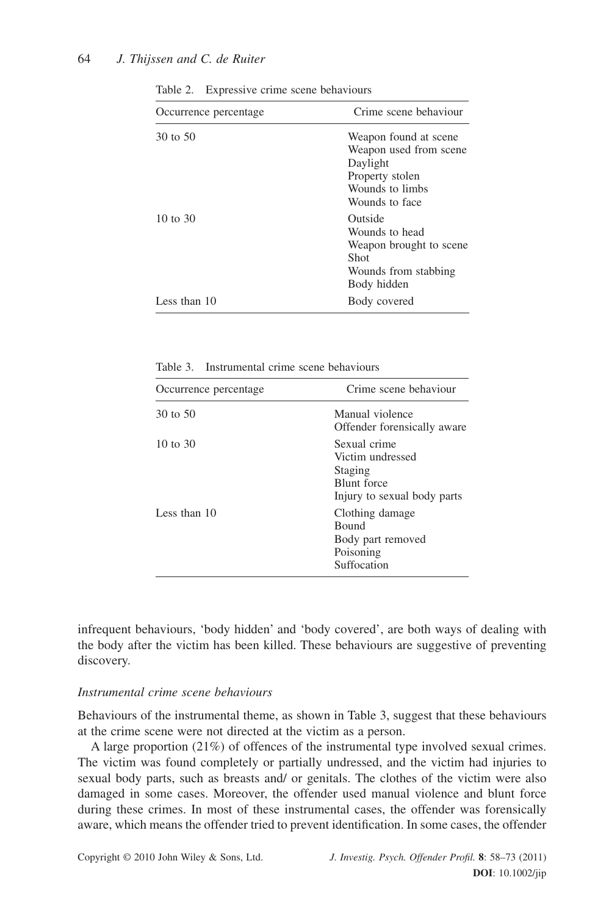| Occurrence percentage | Crime scene behaviour                                                                                               |
|-----------------------|---------------------------------------------------------------------------------------------------------------------|
| 30 to 50              | Weapon found at scene<br>Weapon used from scene<br>Daylight<br>Property stolen<br>Wounds to limbs<br>Wounds to face |
| $10 \text{ to } 30$   | Outside<br>Wounds to head<br>Weapon brought to scene<br>Shot<br>Wounds from stabbing<br>Body hidden                 |
| Less than 10          | Body covered                                                                                                        |

Table 2. Expressive crime scene behaviours

Table 3. Instrumental crime scene behaviours

| Occurrence percentage | Crime scene behaviour                                                                            |
|-----------------------|--------------------------------------------------------------------------------------------------|
| $30 \text{ to } 50$   | Manual violence<br>Offender forensically aware                                                   |
| $10 \text{ to } 30$   | Sexual crime<br>Victim undressed<br>Staging<br><b>Blunt</b> force<br>Injury to sexual body parts |
| Less than 10          | Clothing damage<br><b>Bound</b><br>Body part removed<br>Poisoning<br>Suffocation                 |

infrequent behaviours, 'body hidden' and 'body covered', are both ways of dealing with the body after the victim has been killed. These behaviours are suggestive of preventing discovery.

# *Instrumental crime scene behaviours*

Behaviours of the instrumental theme, as shown in Table 3, suggest that these behaviours at the crime scene were not directed at the victim as a person.

A large proportion (21%) of offences of the instrumental type involved sexual crimes. The victim was found completely or partially undressed, and the victim had injuries to sexual body parts, such as breasts and/ or genitals. The clothes of the victim were also damaged in some cases. Moreover, the offender used manual violence and blunt force during these crimes. In most of these instrumental cases, the offender was forensically aware, which means the offender tried to prevent identification. In some cases, the offender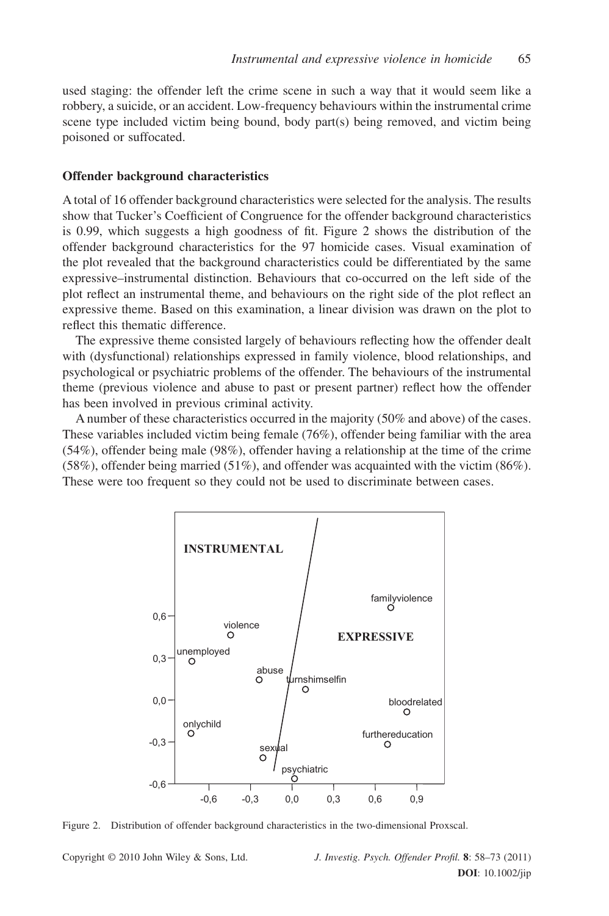used staging: the offender left the crime scene in such a way that it would seem like a robbery, a suicide, or an accident. Low-frequency behaviours within the instrumental crime scene type included victim being bound, body part(s) being removed, and victim being poisoned or suffocated.

#### **Offender background characteristics**

A total of 16 offender background characteristics were selected for the analysis. The results show that Tucker's Coefficient of Congruence for the offender background characteristics is 0.99, which suggests a high goodness of fit. Figure 2 shows the distribution of the offender background characteristics for the 97 homicide cases. Visual examination of the plot revealed that the background characteristics could be differentiated by the same expressive–instrumental distinction. Behaviours that co-occurred on the left side of the plot reflect an instrumental theme, and behaviours on the right side of the plot reflect an expressive theme. Based on this examination, a linear division was drawn on the plot to reflect this thematic difference.

The expressive theme consisted largely of behaviours reflecting how the offender dealt with (dysfunctional) relationships expressed in family violence, blood relationships, and psychological or psychiatric problems of the offender. The behaviours of the instrumental theme (previous violence and abuse to past or present partner) reflect how the offender has been involved in previous criminal activity.

A number of these characteristics occurred in the majority (50% and above) of the cases. These variables included victim being female (76%), offender being familiar with the area (54%), offender being male (98%), offender having a relationship at the time of the crime (58%), offender being married (51%), and offender was acquainted with the victim (86%). These were too frequent so they could not be used to discriminate between cases.



Figure 2. Distribution of offender background characteristics in the two-dimensional Proxscal.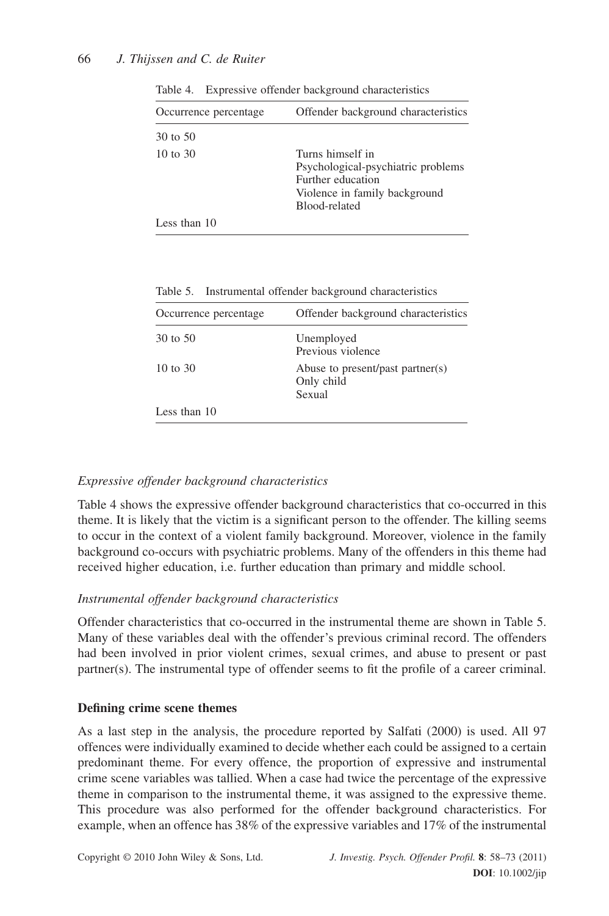| Occurrence percentage | Offender background characteristics                                                                                           |  |  |
|-----------------------|-------------------------------------------------------------------------------------------------------------------------------|--|--|
| $30 \text{ to } 50$   |                                                                                                                               |  |  |
| 10 to 30              | Turns himself in<br>Psychological-psychiatric problems<br>Further education<br>Violence in family background<br>Blood-related |  |  |
| Less than 10          |                                                                                                                               |  |  |

Table 4. Expressive offender background characteristics

|  |  |  |  | Table 5. Instrumental offender background characteristics |
|--|--|--|--|-----------------------------------------------------------|
|--|--|--|--|-----------------------------------------------------------|

| Offender background characteristics                      |
|----------------------------------------------------------|
| Unemployed<br>Previous violence                          |
| Abuse to present/past partner(s)<br>Only child<br>Sexual |
|                                                          |
|                                                          |

# *Expressive offender background characteristics*

Table 4 shows the expressive offender background characteristics that co-occurred in this theme. It is likely that the victim is a significant person to the offender. The killing seems to occur in the context of a violent family background. Moreover, violence in the family background co-occurs with psychiatric problems. Many of the offenders in this theme had received higher education, i.e. further education than primary and middle school.

# *Instrumental offender background characteristics*

Offender characteristics that co-occurred in the instrumental theme are shown in Table 5. Many of these variables deal with the offender's previous criminal record. The offenders had been involved in prior violent crimes, sexual crimes, and abuse to present or past  $partner(s)$ . The instrumental type of offender seems to fit the profile of a career criminal.

# **Defining crime scene themes**

As a last step in the analysis, the procedure reported by Salfati (2000) is used. All 97 offences were individually examined to decide whether each could be assigned to a certain predominant theme. For every offence, the proportion of expressive and instrumental crime scene variables was tallied. When a case had twice the percentage of the expressive theme in comparison to the instrumental theme, it was assigned to the expressive theme. This procedure was also performed for the offender background characteristics. For example, when an offence has 38% of the expressive variables and 17% of the instrumental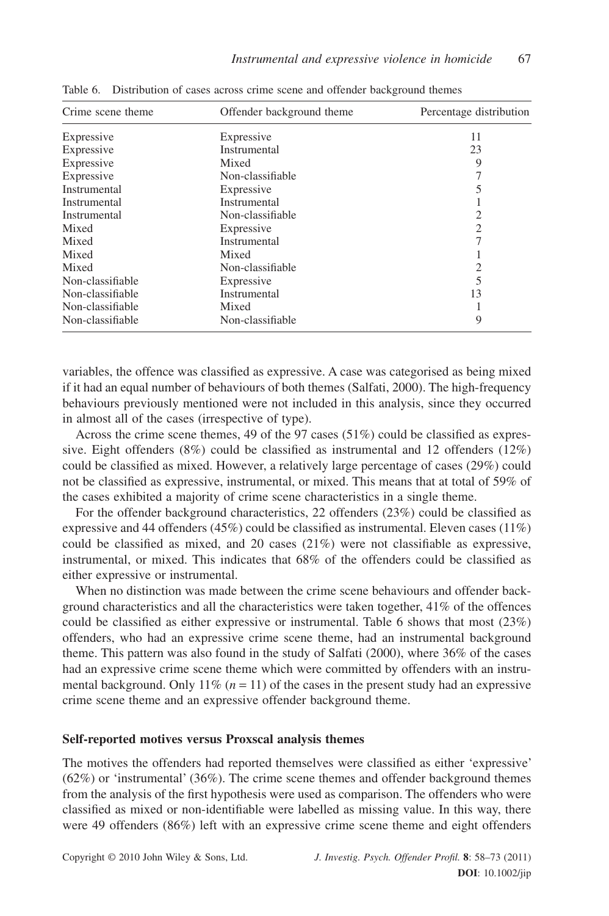| Crime scene theme<br>Offender background theme |                  | Percentage distribution |
|------------------------------------------------|------------------|-------------------------|
| Expressive                                     | Expressive       | 11                      |
| Expressive                                     | Instrumental     | 23                      |
| Expressive                                     | Mixed            | 9                       |
| Expressive                                     | Non-classifiable | 7                       |
| Instrumental                                   | Expressive       |                         |
| Instrumental                                   | Instrumental     |                         |
| Instrumental                                   | Non-classifiable | 2                       |
| Mixed                                          | Expressive       | 2                       |
| Mixed                                          | Instrumental     |                         |
| Mixed                                          | Mixed            |                         |
| Mixed                                          | Non-classifiable | 2                       |
| Non-classifiable                               | Expressive       | 5                       |
| Non-classifiable                               | Instrumental     | 13                      |
| Non-classifiable                               | Mixed            |                         |
| Non-classifiable                               | Non-classifiable | 9                       |

Table 6. Distribution of cases across crime scene and offender background themes

variables, the offence was classified as expressive. A case was categorised as being mixed if it had an equal number of behaviours of both themes (Salfati, 2000). The high-frequency behaviours previously mentioned were not included in this analysis, since they occurred in almost all of the cases (irrespective of type).

Across the crime scene themes, 49 of the 97 cases  $(51\%)$  could be classified as expressive. Eight offenders  $(8\%)$  could be classified as instrumental and 12 offenders  $(12\%)$ could be classified as mixed. However, a relatively large percentage of cases  $(29%)$  could not be classified as expressive, instrumental, or mixed. This means that at total of 59% of the cases exhibited a majority of crime scene characteristics in a single theme.

For the offender background characteristics, 22 offenders  $(23%)$  could be classified as expressive and 44 offenders (45%) could be classified as instrumental. Eleven cases (11%) could be classified as mixed, and 20 cases  $(21\%)$  were not classifiable as expressive, instrumental, or mixed. This indicates that  $68\%$  of the offenders could be classified as either expressive or instrumental.

When no distinction was made between the crime scene behaviours and offender background characteristics and all the characteristics were taken together, 41% of the offences could be classified as either expressive or instrumental. Table 6 shows that most  $(23\%)$ offenders, who had an expressive crime scene theme, had an instrumental background theme. This pattern was also found in the study of Salfati (2000), where 36% of the cases had an expressive crime scene theme which were committed by offenders with an instrumental background. Only  $11\%$  ( $n = 11$ ) of the cases in the present study had an expressive crime scene theme and an expressive offender background theme.

# **Self-reported motives versus Proxscal analysis themes**

The motives the offenders had reported themselves were classified as either 'expressive'  $(62\%)$  or 'instrumental'  $(36\%)$ . The crime scene themes and offender background themes from the analysis of the first hypothesis were used as comparison. The offenders who were classified as mixed or non-identifiable were labelled as missing value. In this way, there were 49 offenders (86%) left with an expressive crime scene theme and eight offenders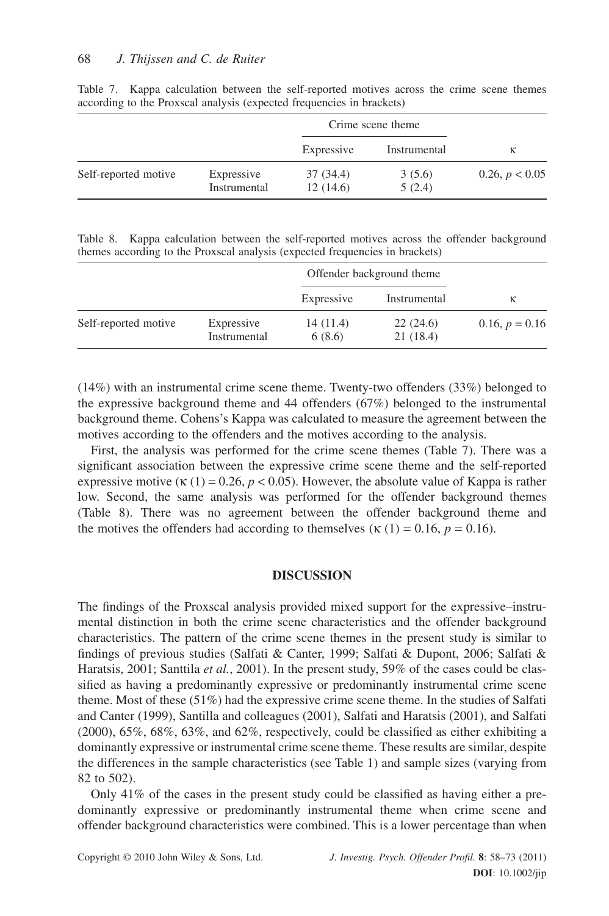### 68 *J. Thijssen and C. de Ruiter*

|                      |                            | Crime scene theme     |                  |                  |
|----------------------|----------------------------|-----------------------|------------------|------------------|
|                      |                            | Expressive            | Instrumental     |                  |
| Self-reported motive | Expressive<br>Instrumental | 37 (34.4)<br>12(14.6) | 3(5.6)<br>5(2.4) | 0.26, $p < 0.05$ |

Table 7. Kappa calculation between the self-reported motives across the crime scene themes according to the Proxscal analysis (expected frequencies in brackets)

|  |  | Table 8. Kappa calculation between the self-reported motives across the offender background |  |  |  |
|--|--|---------------------------------------------------------------------------------------------|--|--|--|
|  |  | themes according to the Proxscal analysis (expected frequencies in brackets)                |  |  |  |

|                      |                            | Offender background theme |                      |                  |
|----------------------|----------------------------|---------------------------|----------------------|------------------|
|                      |                            | Expressive                | Instrumental         |                  |
| Self-reported motive | Expressive<br>Instrumental | 14(11.4)<br>6(8.6)        | 22(24.6)<br>21(18.4) | 0.16, $p = 0.16$ |

(14%) with an instrumental crime scene theme. Twenty-two offenders (33%) belonged to the expressive background theme and 44 offenders (67%) belonged to the instrumental background theme. Cohens's Kappa was calculated to measure the agreement between the motives according to the offenders and the motives according to the analysis.

First, the analysis was performed for the crime scene themes (Table 7). There was a significant association between the expressive crime scene theme and the self-reported expressive motive ( $\kappa$  (1) = 0.26,  $p < 0.05$ ). However, the absolute value of Kappa is rather low. Second, the same analysis was performed for the offender background themes (Table 8). There was no agreement between the offender background theme and the motives the offenders had according to themselves ( $\kappa$  (1) = 0.16, *p* = 0.16).

# **DISCUSSION**

The findings of the Proxscal analysis provided mixed support for the expressive–instrumental distinction in both the crime scene characteristics and the offender background characteristics. The pattern of the crime scene themes in the present study is similar to findings of previous studies (Salfati & Canter, 1999; Salfati & Dupont, 2006; Salfati & Haratsis, 2001; Santtila *et al.*, 2001). In the present study, 59% of the cases could be classified as having a predominantly expressive or predominantly instrumental crime scene theme. Most of these (51%) had the expressive crime scene theme. In the studies of Salfati and Canter (1999), Santilla and colleagues (2001), Salfati and Haratsis (2001), and Salfati  $(2000)$ ,  $65\%, 68\%, 63\%,$  and  $62\%,$  respectively, could be classified as either exhibiting a dominantly expressive or instrumental crime scene theme. These results are similar, despite the differences in the sample characteristics (see Table 1) and sample sizes (varying from 82 to 502).

Only  $41\%$  of the cases in the present study could be classified as having either a predominantly expressive or predominantly instrumental theme when crime scene and offender background characteristics were combined. This is a lower percentage than when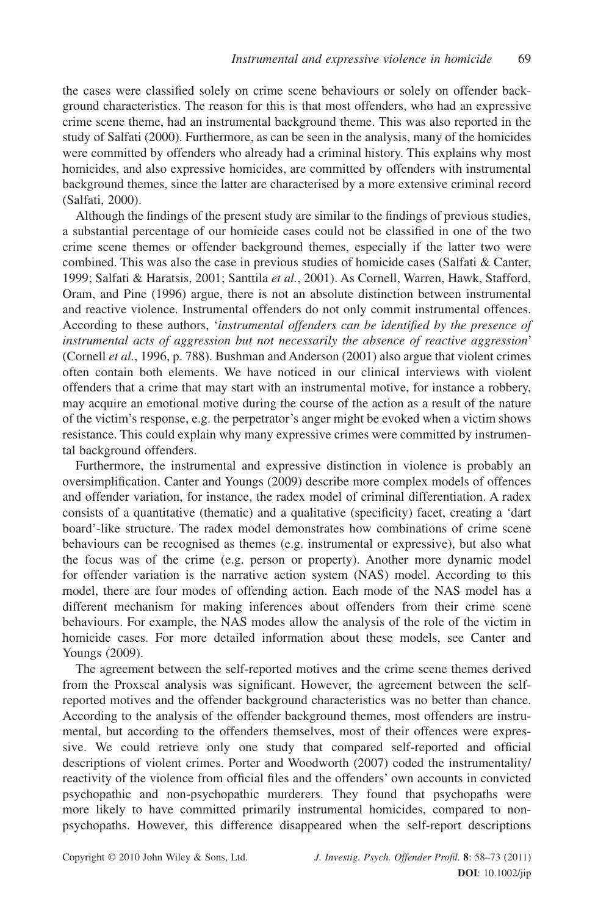the cases were classified solely on crime scene behaviours or solely on offender background characteristics. The reason for this is that most offenders, who had an expressive crime scene theme, had an instrumental background theme. This was also reported in the study of Salfati (2000). Furthermore, as can be seen in the analysis, many of the homicides were committed by offenders who already had a criminal history. This explains why most homicides, and also expressive homicides, are committed by offenders with instrumental background themes, since the latter are characterised by a more extensive criminal record (Salfati, 2000).

Although the findings of the present study are similar to the findings of previous studies, a substantial percentage of our homicide cases could not be classified in one of the two crime scene themes or offender background themes, especially if the latter two were combined. This was also the case in previous studies of homicide cases (Salfati & Canter, 1999; Salfati & Haratsis, 2001; Santtila *et al.*, 2001). As Cornell, Warren, Hawk, Stafford, Oram, and Pine (1996) argue, there is not an absolute distinction between instrumental and reactive violence. Instrumental offenders do not only commit instrumental offences. According to these authors, 'instrumental offenders can be identified by the presence of *instrumental acts of aggression but not necessarily the absence of reactive aggression*' (Cornell *et al.*, 1996, p. 788). Bushman and Anderson (2001) also argue that violent crimes often contain both elements. We have noticed in our clinical interviews with violent offenders that a crime that may start with an instrumental motive, for instance a robbery, may acquire an emotional motive during the course of the action as a result of the nature of the victim's response, e.g. the perpetrator's anger might be evoked when a victim shows resistance. This could explain why many expressive crimes were committed by instrumental background offenders.

Furthermore, the instrumental and expressive distinction in violence is probably an oversimplification. Canter and Youngs (2009) describe more complex models of offences and offender variation, for instance, the radex model of criminal differentiation. A radex consists of a quantitative (thematic) and a qualitative (specificity) facet, creating a 'dart board'-like structure. The radex model demonstrates how combinations of crime scene behaviours can be recognised as themes (e.g. instrumental or expressive), but also what the focus was of the crime (e.g. person or property). Another more dynamic model for offender variation is the narrative action system (NAS) model. According to this model, there are four modes of offending action. Each mode of the NAS model has a different mechanism for making inferences about offenders from their crime scene behaviours. For example, the NAS modes allow the analysis of the role of the victim in homicide cases. For more detailed information about these models, see Canter and Youngs (2009).

The agreement between the self-reported motives and the crime scene themes derived from the Proxscal analysis was significant. However, the agreement between the selfreported motives and the offender background characteristics was no better than chance. According to the analysis of the offender background themes, most offenders are instrumental, but according to the offenders themselves, most of their offences were expressive. We could retrieve only one study that compared self-reported and official descriptions of violent crimes. Porter and Woodworth (2007) coded the instrumentality/ reactivity of the violence from official files and the offenders' own accounts in convicted psychopathic and non-psychopathic murderers. They found that psychopaths were more likely to have committed primarily instrumental homicides, compared to nonpsychopaths. However, this difference disappeared when the self-report descriptions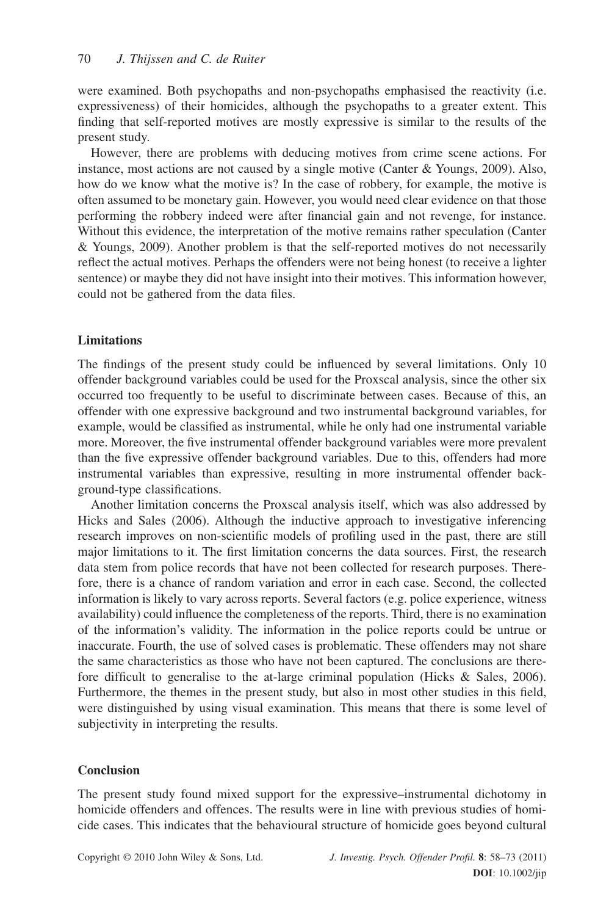were examined. Both psychopaths and non-psychopaths emphasised the reactivity (i.e. expressiveness) of their homicides, although the psychopaths to a greater extent. This finding that self-reported motives are mostly expressive is similar to the results of the present study.

However, there are problems with deducing motives from crime scene actions. For instance, most actions are not caused by a single motive (Canter & Youngs, 2009). Also, how do we know what the motive is? In the case of robbery, for example, the motive is often assumed to be monetary gain. However, you would need clear evidence on that those performing the robbery indeed were after financial gain and not revenge, for instance. Without this evidence, the interpretation of the motive remains rather speculation (Canter & Youngs, 2009). Another problem is that the self-reported motives do not necessarily reflect the actual motives. Perhaps the offenders were not being honest (to receive a lighter sentence) or maybe they did not have insight into their motives. This information however, could not be gathered from the data files.

# **Limitations**

The findings of the present study could be influenced by several limitations. Only 10 offender background variables could be used for the Proxscal analysis, since the other six occurred too frequently to be useful to discriminate between cases. Because of this, an offender with one expressive background and two instrumental background variables, for example, would be classified as instrumental, while he only had one instrumental variable more. Moreover, the five instrumental offender background variables were more prevalent than the five expressive offender background variables. Due to this, offenders had more instrumental variables than expressive, resulting in more instrumental offender background-type classifications.

Another limitation concerns the Proxscal analysis itself, which was also addressed by Hicks and Sales (2006). Although the inductive approach to investigative inferencing research improves on non-scientific models of profiling used in the past, there are still major limitations to it. The first limitation concerns the data sources. First, the research data stem from police records that have not been collected for research purposes. Therefore, there is a chance of random variation and error in each case. Second, the collected information is likely to vary across reports. Several factors (e.g. police experience, witness availability) could influence the completeness of the reports. Third, there is no examination of the information's validity. The information in the police reports could be untrue or inaccurate. Fourth, the use of solved cases is problematic. These offenders may not share the same characteristics as those who have not been captured. The conclusions are therefore difficult to generalise to the at-large criminal population (Hicks  $\&$  Sales, 2006). Furthermore, the themes in the present study, but also in most other studies in this field, were distinguished by using visual examination. This means that there is some level of subjectivity in interpreting the results.

# **Conclusion**

The present study found mixed support for the expressive–instrumental dichotomy in homicide offenders and offences. The results were in line with previous studies of homicide cases. This indicates that the behavioural structure of homicide goes beyond cultural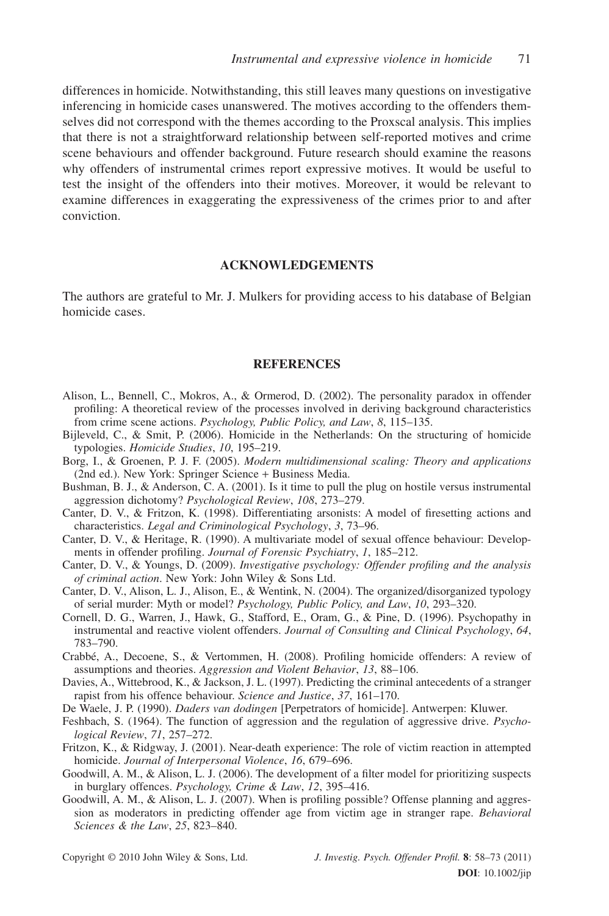differences in homicide. Notwithstanding, this still leaves many questions on investigative inferencing in homicide cases unanswered. The motives according to the offenders themselves did not correspond with the themes according to the Proxscal analysis. This implies that there is not a straightforward relationship between self-reported motives and crime scene behaviours and offender background. Future research should examine the reasons why offenders of instrumental crimes report expressive motives. It would be useful to test the insight of the offenders into their motives. Moreover, it would be relevant to examine differences in exaggerating the expressiveness of the crimes prior to and after conviction.

## **ACKNOWLEDGEMENTS**

The authors are grateful to Mr. J. Mulkers for providing access to his database of Belgian homicide cases.

### **REFERENCES**

- Alison, L., Bennell, C., Mokros, A., & Ormerod, D. (2002). The personality paradox in offender profiling: A theoretical review of the processes involved in deriving background characteristics from crime scene actions. *Psychology, Public Policy, and Law*, *8*, 115–135.
- Bijleveld, C., & Smit, P. (2006). Homicide in the Netherlands: On the structuring of homicide typologies. *Homicide Studies*, *10*, 195–219.
- Borg, I., & Groenen, P. J. F. (2005). *Modern multidimensional scaling: Theory and applications*  (2nd ed.). New York: Springer Science + Business Media.
- Bushman, B. J., & Anderson, C. A. (2001). Is it time to pull the plug on hostile versus instrumental aggression dichotomy? *Psychological Review*, *108*, 273–279.
- Canter, D. V., & Fritzon, K. (1998). Differentiating arsonists: A model of firesetting actions and characteristics. *Legal and Criminological Psychology*, *3*, 73–96.
- Canter, D. V., & Heritage, R. (1990). A multivariate model of sexual offence behaviour: Developments in offender profiling. *Journal of Forensic Psychiatry*, 1, 185–212.
- Canter, D. V., & Youngs, D. (2009). *Investigative psychology: Offender profiling and the analysis of criminal action*. New York: John Wiley & Sons Ltd.
- Canter, D. V., Alison, L. J., Alison, E., & Wentink, N. (2004). The organized/disorganized typology of serial murder: Myth or model? *Psychology, Public Policy, and Law*, *10*, 293–320.
- Cornell, D. G., Warren, J., Hawk, G., Stafford, E., Oram, G., & Pine, D. (1996). Psychopathy in instrumental and reactive violent offenders. *Journal of Consulting and Clinical Psychology*, *64*, 783–790.
- Crabbé, A., Decoene, S., & Vertommen, H. (2008). Profiling homicide offenders: A review of assumptions and theories. *Aggression and Violent Behavior*, *13*, 88–106.
- Davies, A., Wittebrood, K., & Jackson, J. L. (1997). Predicting the criminal antecedents of a stranger rapist from his offence behaviour. *Science and Justice*, *37*, 161–170.
- De Waele, J. P. (1990). *Daders van dodingen* [Perpetrators of homicide]. Antwerpen: Kluwer.
- Feshbach, S. (1964). The function of aggression and the regulation of aggressive drive. *Psychological Review*, *71*, 257–272.
- Fritzon, K., & Ridgway, J. (2001). Near-death experience: The role of victim reaction in attempted homicide. *Journal of Interpersonal Violence*, *16*, 679–696.
- Goodwill, A. M., & Alison, L. J. (2006). The development of a filter model for prioritizing suspects in burglary offences. *Psychology, Crime & Law*, *12*, 395–416.
- Goodwill, A. M., & Alison, L. J. (2007). When is profiling possible? Offense planning and aggression as moderators in predicting offender age from victim age in stranger rape. *Behavioral Sciences & the Law*, *25*, 823–840.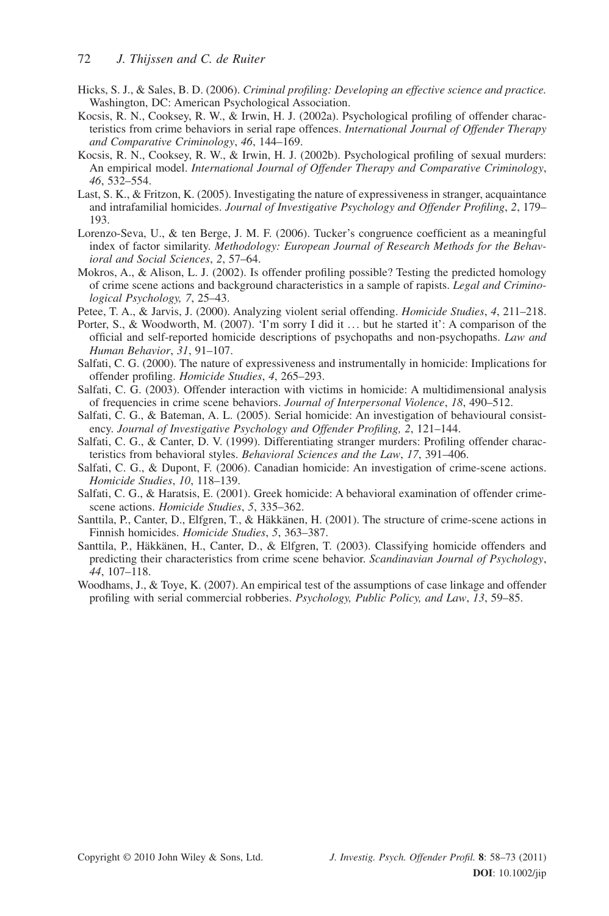- Hicks, S. J., & Sales, B. D. (2006). *Criminal profiling: Developing an effective science and practice.* Washington, DC: American Psychological Association.
- Kocsis, R. N., Cooksey, R. W., & Irwin, H. J. (2002a). Psychological profiling of offender characteristics from crime behaviors in serial rape offences. *International Journal of Offender Therapy and Comparative Criminology*, *46*, 144–169.
- Kocsis, R. N., Cooksey, R. W., & Irwin, H. J. (2002b). Psychological profiling of sexual murders: An empirical model. *International Journal of Offender Therapy and Comparative Criminology*, *46*, 532–554.
- Last, S. K., & Fritzon, K. (2005). Investigating the nature of expressiveness in stranger, acquaintance and intrafamilial homicides. *Journal of Investigative Psychology and Offender Profiling*, 2, 179– 193.
- Lorenzo-Seva, U., & ten Berge, J. M. F. (2006). Tucker's congruence coefficient as a meaningful index of factor similarity. *Methodology: European Journal of Research Methods for the Behavioral and Social Sciences*, *2*, 57–64.
- Mokros, A., & Alison, L. J. (2002). Is offender profiling possible? Testing the predicted homology of crime scene actions and background characteristics in a sample of rapists. *Legal and Criminological Psychology, 7*, 25–43.
- Petee, T. A., & Jarvis, J. (2000). Analyzing violent serial offending. *Homicide Studies*, *4*, 211–218.
- Porter, S., & Woodworth, M. (2007). 'I'm sorry I did it ... but he started it': A comparison of the official and self-reported homicide descriptions of psychopaths and non-psychopaths. *Law and Human Behavior*, *31*, 91–107.
- Salfati, C. G. (2000). The nature of expressiveness and instrumentally in homicide: Implications for offender profiling. *Homicide Studies*, 4, 265-293.
- Salfati, C. G. (2003). Offender interaction with victims in homicide: A multidimensional analysis of frequencies in crime scene behaviors. *Journal of Interpersonal Violence*, *18*, 490–512.
- Salfati, C. G., & Bateman, A. L. (2005). Serial homicide: An investigation of behavioural consistency. *Journal of Investigative Psychology and Offender Profiling, 2, 121–144.*
- Salfati, C. G., & Canter, D. V. (1999). Differentiating stranger murders: Profiling offender characteristics from behavioral styles. *Behavioral Sciences and the Law*, *17*, 391–406.
- Salfati, C. G., & Dupont, F. (2006). Canadian homicide: An investigation of crime-scene actions. *Homicide Studies*, *10*, 118–139.
- Salfati, C. G., & Haratsis, E. (2001). Greek homicide: A behavioral examination of offender crimescene actions. *Homicide Studies*, *5*, 335–362.
- Santtila, P., Canter, D., Elfgren, T., & Häkkänen, H. (2001). The structure of crime-scene actions in Finnish homicides. *Homicide Studies*, *5*, 363–387.
- Santtila, P., Häkkänen, H., Canter, D., & Elfgren, T. (2003). Classifying homicide offenders and predicting their characteristics from crime scene behavior. *Scandinavian Journal of Psychology*, *44*, 107–118.
- Woodhams, J., & Toye, K. (2007). An empirical test of the assumptions of case linkage and offender profiling with serial commercial robberies. *Psychology, Public Policy, and Law, 13, 59–85.*